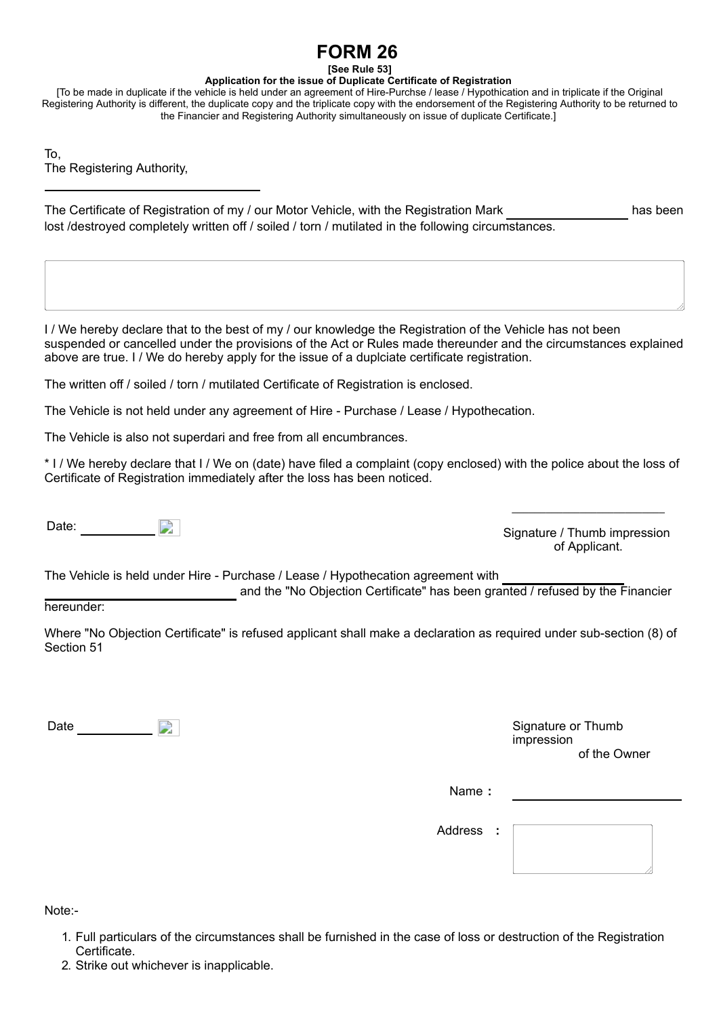## **FORM 26**

**[See Rule 53]**

## **Application for the issue of Duplicate Certificate of Registration**

[To be made in duplicate if the vehicle is held under an agreement of Hire-Purchse / lease / Hypothication and in triplicate if the Original Registering Authority is different, the duplicate copy and the triplicate copy with the endorsement of the Registering Authority to be returned to the Financier and Registering Authority simultaneously on issue of duplicate Certificate.]

To, The Registering Authority,

The Certificate of Registration of my / our Motor Vehicle, with the Registration Mark has been lost /destroyed completely written off / soiled / torn / mutilated in the following circumstances.

I / We hereby declare that to the best of my / our knowledge the Registration of the Vehicle has not been suspended or cancelled under the provisions of the Act or Rules made thereunder and the circumstances explained above are true. I / We do hereby apply for the issue of a duplciate certificate registration.

The written off / soiled / torn / mutilated Certificate of Registration is enclosed.

The Vehicle is not held under any agreement of Hire - Purchase / Lease / Hypothecation.

The Vehicle is also not superdari and free from all encumbrances.

\* I / We hereby declare that I / We on (date) have filed a complaint (copy enclosed) with the police about the loss of Certificate of Registration immediately after the loss has been noticed.

Date:

Signature / Thumb impression of Applicant.

\_\_\_\_\_\_\_\_\_\_\_\_\_\_\_\_\_\_\_\_\_\_\_\_\_\_\_

The Vehicle is held under Hire - Purchase / Lease / Hypothecation agreement with

and the "No Objection Certificate" has been granted / refused by the Financier

## hereunder:

Where "No Objection Certificate" is refused applicant shall make a declaration as required under sub-section (8) of Section 51

Date **Signature or Thumb** 

impression of the Owner

Name **:** 

Address **:**



Note:-

- 1. Full particulars of the circumstances shall be furnished in the case of loss or destruction of the Registration Certificate.
- 2. Strike out whichever is inapplicable.